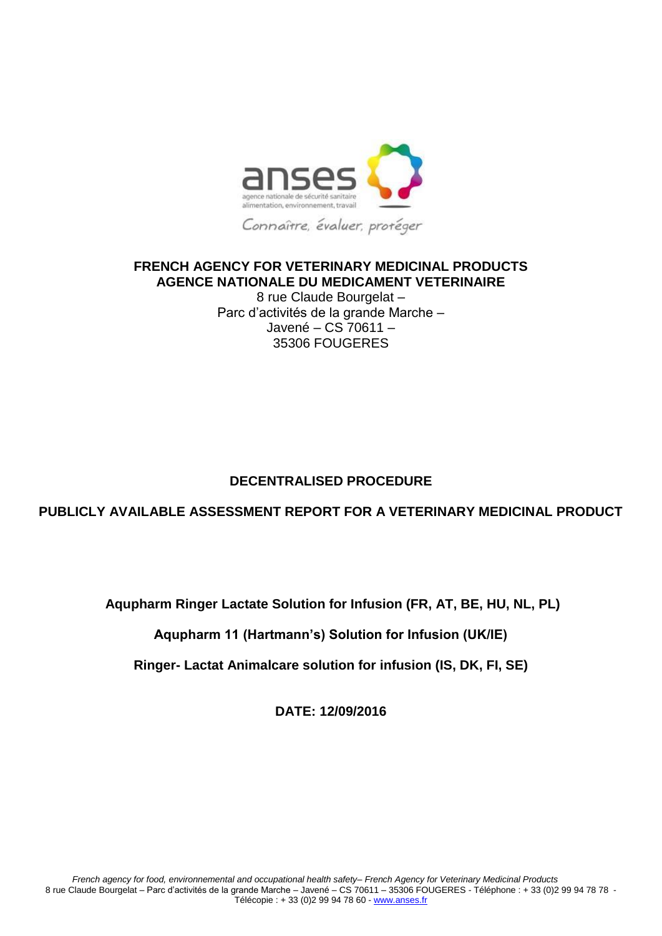

#### **FRENCH AGENCY FOR VETERINARY MEDICINAL PRODUCTS AGENCE NATIONALE DU MEDICAMENT VETERINAIRE**

8 rue Claude Bourgelat – Parc d'activités de la grande Marche – Javené – CS 70611 – 35306 FOUGERES

# **DECENTRALISED PROCEDURE**

# **PUBLICLY AVAILABLE ASSESSMENT REPORT FOR A VETERINARY MEDICINAL PRODUCT**

**Aqupharm Ringer Lactate Solution for Infusion (FR, AT, BE, HU, NL, PL)**

**Aqupharm 11 (Hartmann's) Solution for Infusion (UK/IE)**

**Ringer- Lactat Animalcare solution for infusion (IS, DK, FI, SE)**

**DATE: 12/09/2016**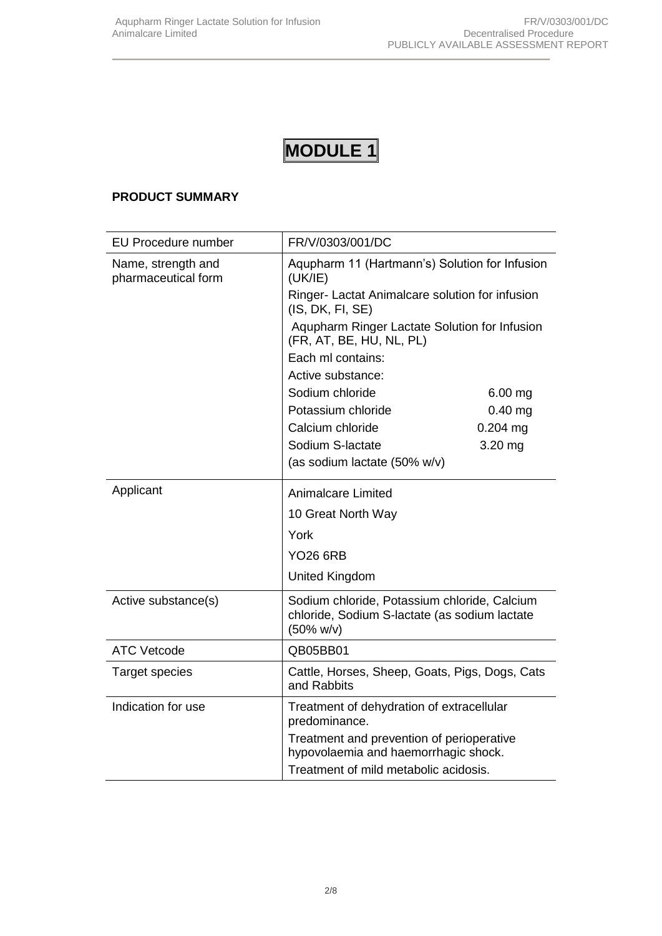# **MODULE 1**

#### **PRODUCT SUMMARY**

| <b>EU Procedure number</b>                | FR/V/0303/001/DC                                                                                                      |            |
|-------------------------------------------|-----------------------------------------------------------------------------------------------------------------------|------------|
| Name, strength and<br>pharmaceutical form | Aqupharm 11 (Hartmann's) Solution for Infusion<br>(UK/IE)                                                             |            |
|                                           | Ringer- Lactat Animalcare solution for infusion<br>(IS, DK, FI, SE)                                                   |            |
|                                           | Aqupharm Ringer Lactate Solution for Infusion<br>(FR, AT, BE, HU, NL, PL)                                             |            |
|                                           | Each ml contains:                                                                                                     |            |
|                                           | Active substance:                                                                                                     |            |
|                                           | Sodium chloride                                                                                                       | $6.00$ mg  |
|                                           | Potassium chloride                                                                                                    | $0.40$ mg  |
|                                           | Calcium chloride                                                                                                      | $0.204$ mg |
|                                           | Sodium S-lactate                                                                                                      | 3.20 mg    |
|                                           | (as sodium lactate (50% w/v)                                                                                          |            |
| Applicant                                 | <b>Animalcare Limited</b>                                                                                             |            |
|                                           | 10 Great North Way                                                                                                    |            |
|                                           | York<br><b>YO26 6RB</b>                                                                                               |            |
|                                           |                                                                                                                       |            |
|                                           | <b>United Kingdom</b>                                                                                                 |            |
| Active substance(s)                       | Sodium chloride, Potassium chloride, Calcium<br>chloride, Sodium S-lactate (as sodium lactate<br>$(50\% \text{ w/v})$ |            |
| <b>ATC Vetcode</b>                        | QB05BB01                                                                                                              |            |
| <b>Target species</b>                     | Cattle, Horses, Sheep, Goats, Pigs, Dogs, Cats<br>and Rabbits                                                         |            |
| Indication for use                        | Treatment of dehydration of extracellular<br>predominance.                                                            |            |
|                                           | Treatment and prevention of perioperative<br>hypovolaemia and haemorrhagic shock.                                     |            |
|                                           | Treatment of mild metabolic acidosis.                                                                                 |            |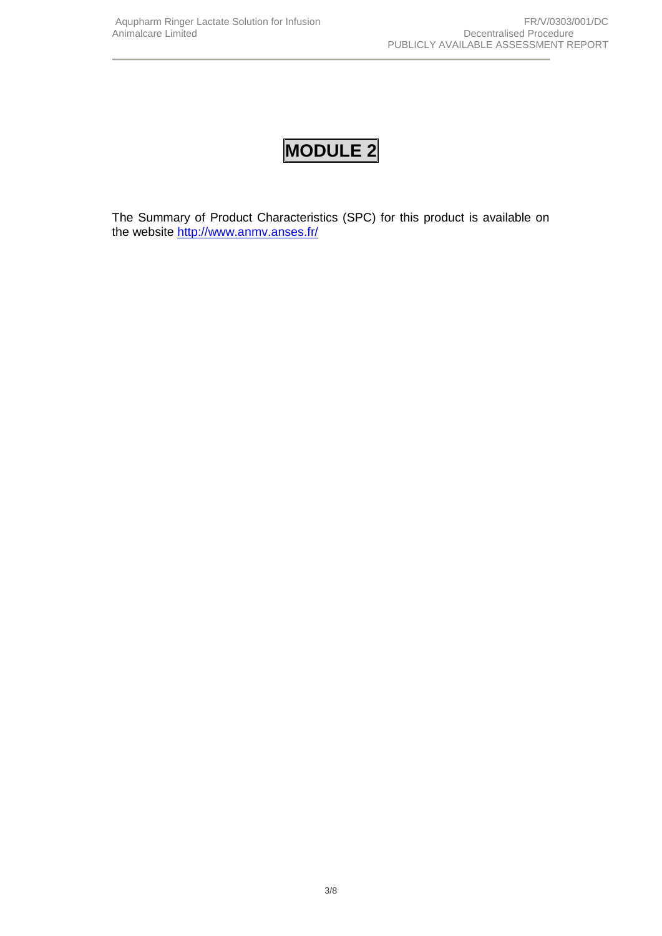# **MODULE 2**

The Summary of Product Characteristics (SPC) for this product is available on the website <http://www.anmv.anses.fr/>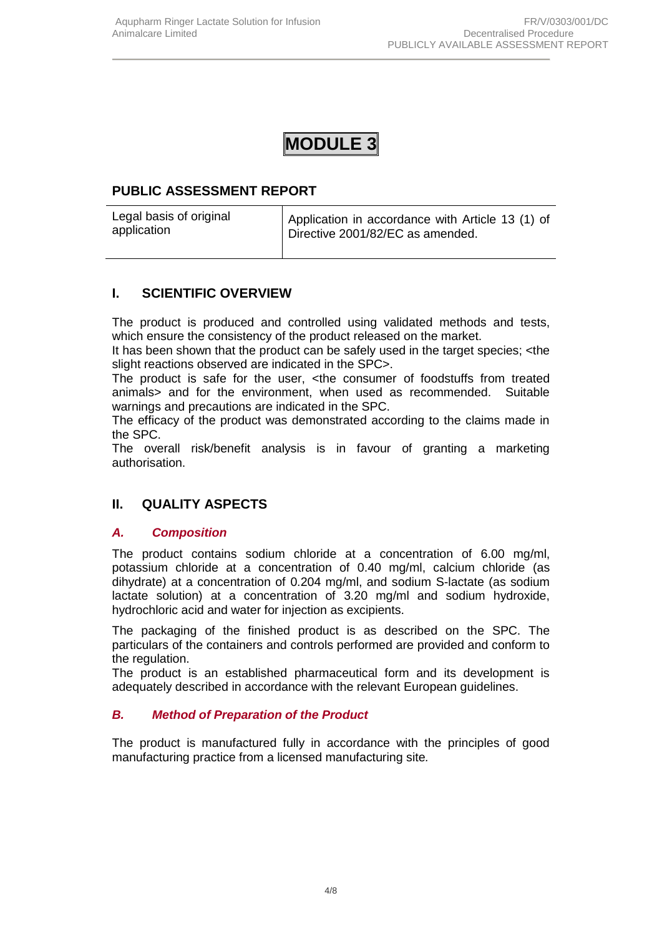# **MODULE 3**

# **PUBLIC ASSESSMENT REPORT**

# **I. SCIENTIFIC OVERVIEW**

The product is produced and controlled using validated methods and tests, which ensure the consistency of the product released on the market.

It has been shown that the product can be safely used in the target species; <the slight reactions observed are indicated in the SPC>.

The product is safe for the user, <the consumer of foodstuffs from treated animals> and for the environment, when used as recommended. Suitable warnings and precautions are indicated in the SPC.

The efficacy of the product was demonstrated according to the claims made in the SPC.

The overall risk/benefit analysis is in favour of granting a marketing authorisation.

# **II. QUALITY ASPECTS**

#### *A. Composition*

The product contains sodium chloride at a concentration of 6.00 mg/ml, potassium chloride at a concentration of 0.40 mg/ml, calcium chloride (as dihydrate) at a concentration of 0.204 mg/ml, and sodium S-lactate (as sodium lactate solution) at a concentration of 3.20 mg/ml and sodium hydroxide, hydrochloric acid and water for injection as excipients.

The packaging of the finished product is as described on the SPC. The particulars of the containers and controls performed are provided and conform to the regulation.

The product is an established pharmaceutical form and its development is adequately described in accordance with the relevant European guidelines.

#### *B. Method of Preparation of the Product*

The product is manufactured fully in accordance with the principles of good manufacturing practice from a licensed manufacturing site*.*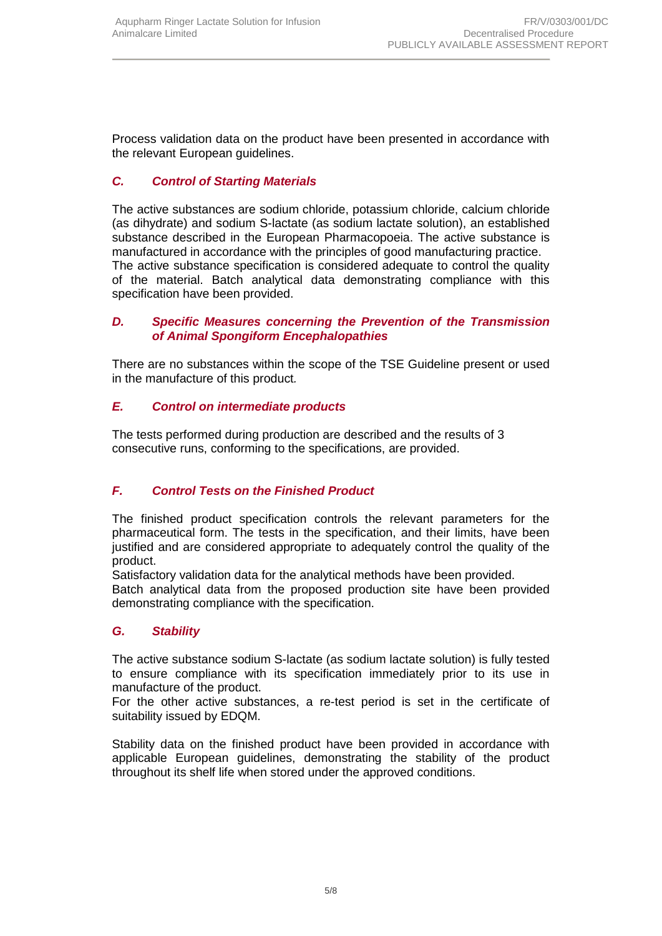Process validation data on the product have been presented in accordance with the relevant European guidelines.

### *C. Control of Starting Materials*

The active substances are sodium chloride, potassium chloride, calcium chloride (as dihydrate) and sodium S-lactate (as sodium lactate solution), an established substance described in the European Pharmacopoeia. The active substance is manufactured in accordance with the principles of good manufacturing practice. The active substance specification is considered adequate to control the quality of the material. Batch analytical data demonstrating compliance with this specification have been provided.

#### *D. Specific Measures concerning the Prevention of the Transmission of Animal Spongiform Encephalopathies*

There are no substances within the scope of the TSE Guideline present or used in the manufacture of this product*.*

#### *E. Control on intermediate products*

The tests performed during production are described and the results of 3 consecutive runs, conforming to the specifications, are provided.

#### *F. Control Tests on the Finished Product*

The finished product specification controls the relevant parameters for the pharmaceutical form. The tests in the specification, and their limits, have been justified and are considered appropriate to adequately control the quality of the product.

Satisfactory validation data for the analytical methods have been provided.

Batch analytical data from the proposed production site have been provided demonstrating compliance with the specification.

#### *G. Stability*

The active substance sodium S-lactate (as sodium lactate solution) is fully tested to ensure compliance with its specification immediately prior to its use in manufacture of the product.

For the other active substances, a re-test period is set in the certificate of suitability issued by EDQM.

Stability data on the finished product have been provided in accordance with applicable European guidelines, demonstrating the stability of the product throughout its shelf life when stored under the approved conditions.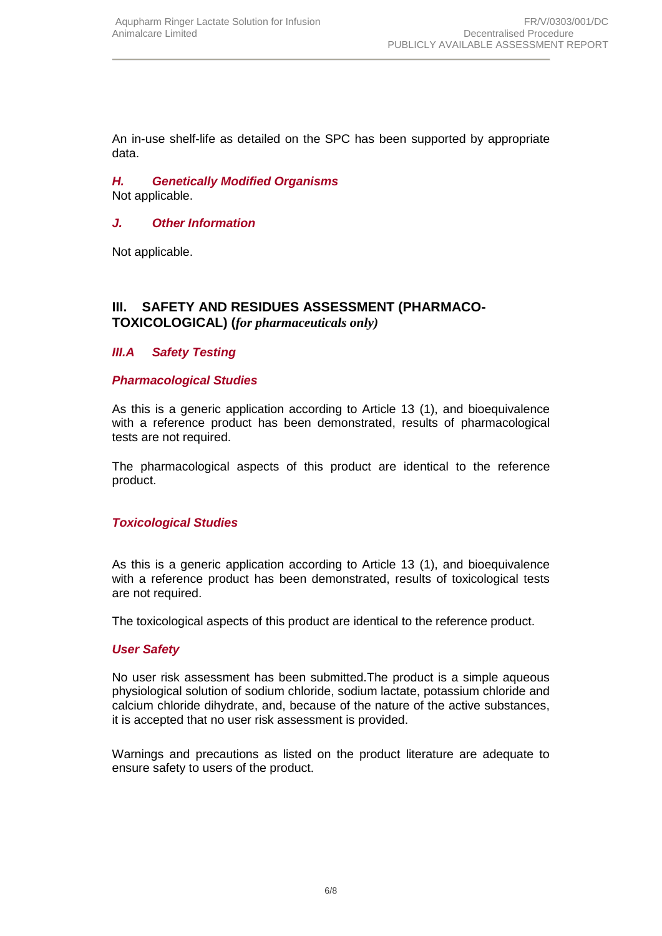An in-use shelf-life as detailed on the SPC has been supported by appropriate data.

# *H. Genetically Modified Organisms*

Not applicable.

### *J. Other Information*

Not applicable.

#### **III. SAFETY AND RESIDUES ASSESSMENT (PHARMACO-TOXICOLOGICAL) (***for pharmaceuticals only)*

#### *III.A Safety Testing*

#### *Pharmacological Studies*

As this is a generic application according to Article 13 (1), and bioequivalence with a reference product has been demonstrated, results of pharmacological tests are not required.

The pharmacological aspects of this product are identical to the reference product.

#### *Toxicological Studies*

As this is a generic application according to Article 13 (1), and bioequivalence with a reference product has been demonstrated, results of toxicological tests are not required.

The toxicological aspects of this product are identical to the reference product.

#### *User Safety*

No user risk assessment has been submitted.The product is a simple aqueous physiological solution of sodium chloride, sodium lactate, potassium chloride and calcium chloride dihydrate, and, because of the nature of the active substances, it is accepted that no user risk assessment is provided.

Warnings and precautions as listed on the product literature are adequate to ensure safety to users of the product.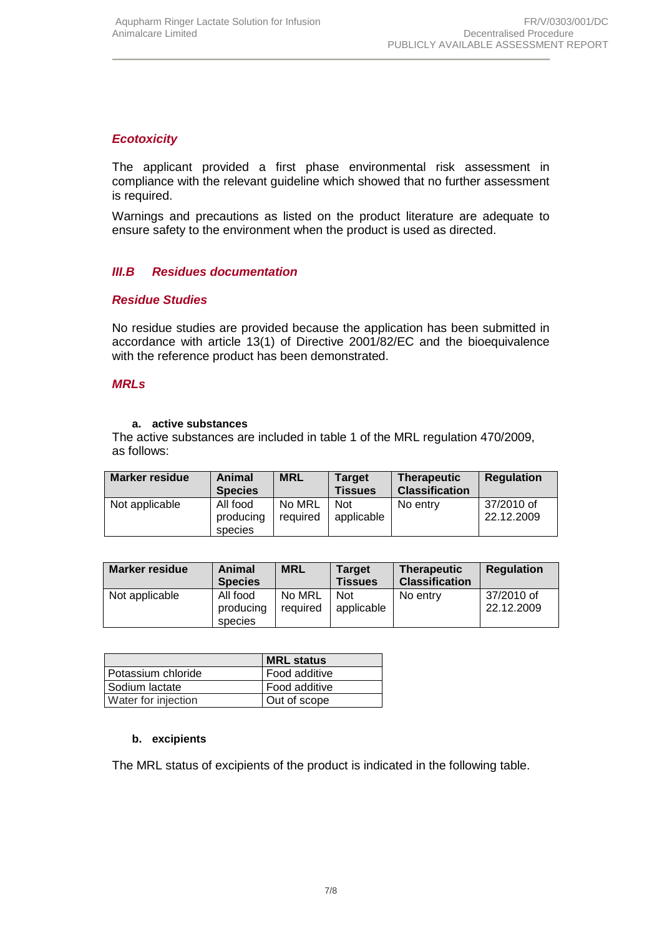#### *Ecotoxicity*

The applicant provided a first phase environmental risk assessment in compliance with the relevant guideline which showed that no further assessment is required.

Warnings and precautions as listed on the product literature are adequate to ensure safety to the environment when the product is used as directed.

#### *III.B Residues documentation*

#### *Residue Studies*

No residue studies are provided because the application has been submitted in accordance with article 13(1) of Directive 2001/82/EC and the bioequivalence with the reference product has been demonstrated.

#### *MRLs*

#### **a. active substances**

The active substances are included in table 1 of the MRL regulation 470/2009, as follows:

| <b>Marker residue</b> | Animal<br><b>Species</b>         | <b>MRL</b>         | Target<br><b>Tissues</b> | <b>Therapeutic</b><br><b>Classification</b> | <b>Regulation</b>        |
|-----------------------|----------------------------------|--------------------|--------------------------|---------------------------------------------|--------------------------|
| Not applicable        | All food<br>producing<br>species | No MRL<br>required | <b>Not</b><br>applicable | No entry                                    | 37/2010 of<br>22.12.2009 |

| <b>Marker residue</b> | Animal<br><b>Species</b>         | <b>MRL</b>         | <b>Target</b><br><b>Tissues</b> | <b>Therapeutic</b><br><b>Classification</b> | <b>Regulation</b>        |
|-----------------------|----------------------------------|--------------------|---------------------------------|---------------------------------------------|--------------------------|
| Not applicable        | All food<br>producing<br>species | No MRL<br>required | <b>Not</b><br>applicable        | No entry                                    | 37/2010 of<br>22.12.2009 |

|                     | <b>IMRL status</b> |
|---------------------|--------------------|
| Potassium chloride  | Food additive      |
| Sodium lactate      | Food additive      |
| Water for injection | Out of scope       |

#### **b. excipients**

The MRL status of excipients of the product is indicated in the following table.